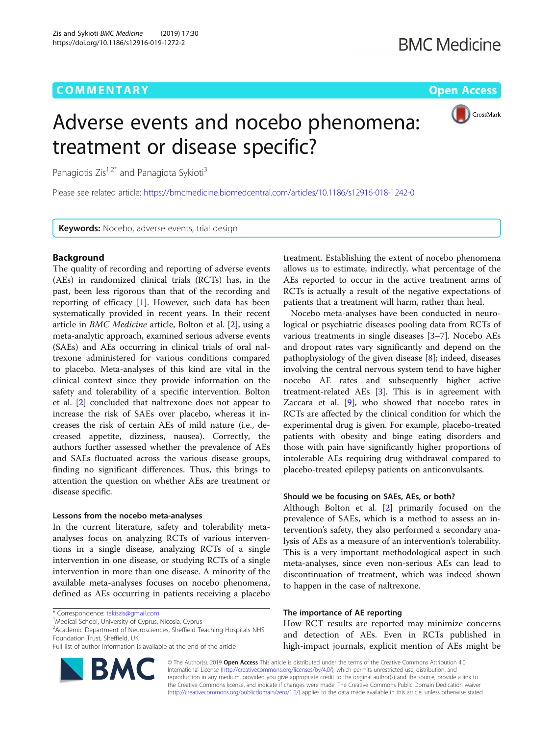# **COMMENTARY** COMMENTARY **COMMENTARY**

CrossMark

# Adverse events and nocebo phenomena: treatment or disease specific?

Panagiotis Zis<sup>1,2\*</sup> and Panagiota Sykioti<sup>3</sup>

Please see related article: <https://bmcmedicine.biomedcentral.com/articles/10.1186/s12916-018-1242-0>

Keywords: Nocebo, adverse events, trial design

# Background

The quality of recording and reporting of adverse events (AEs) in randomized clinical trials (RCTs) has, in the past, been less rigorous than that of the recording and reporting of efficacy  $[1]$ . However, such data has been systematically provided in recent years. In their recent article in BMC Medicine article, Bolton et al. [[2\]](#page-1-0), using a meta-analytic approach, examined serious adverse events (SAEs) and AEs occurring in clinical trials of oral naltrexone administered for various conditions compared to placebo. Meta-analyses of this kind are vital in the clinical context since they provide information on the safety and tolerability of a specific intervention. Bolton et al. [[2\]](#page-1-0) concluded that naltrexone does not appear to increase the risk of SAEs over placebo, whereas it increases the risk of certain AEs of mild nature (i.e., decreased appetite, dizziness, nausea). Correctly, the authors further assessed whether the prevalence of AEs and SAEs fluctuated across the various disease groups, finding no significant differences. Thus, this brings to attention the question on whether AEs are treatment or disease specific.

# Lessons from the nocebo meta-analyses

In the current literature, safety and tolerability metaanalyses focus on analyzing RCTs of various interventions in a single disease, analyzing RCTs of a single intervention in one disease, or studying RCTs of a single intervention in more than one disease. A minority of the available meta-analyses focuses on nocebo phenomena, defined as AEs occurring in patients receiving a placebo

Full list of author information is available at the end of the article



treatment. Establishing the extent of nocebo phenomena allows us to estimate, indirectly, what percentage of the AEs reported to occur in the active treatment arms of RCTs is actually a result of the negative expectations of patients that a treatment will harm, rather than heal.

Nocebo meta-analyses have been conducted in neurological or psychiatric diseases pooling data from RCTs of various treatments in single diseases [[3](#page-1-0)–[7](#page-1-0)]. Nocebo AEs and dropout rates vary significantly and depend on the pathophysiology of the given disease [[8](#page-1-0)]; indeed, diseases involving the central nervous system tend to have higher nocebo AE rates and subsequently higher active treatment-related AEs [[3\]](#page-1-0). This is in agreement with Zaccara et al. [\[9](#page-1-0)], who showed that nocebo rates in RCTs are affected by the clinical condition for which the experimental drug is given. For example, placebo-treated patients with obesity and binge eating disorders and those with pain have significantly higher proportions of intolerable AEs requiring drug withdrawal compared to placebo-treated epilepsy patients on anticonvulsants.

# Should we be focusing on SAEs, AEs, or both?

Although Bolton et al. [\[2](#page-1-0)] primarily focused on the prevalence of SAEs, which is a method to assess an intervention's safety, they also performed a secondary analysis of AEs as a measure of an intervention's tolerability. This is a very important methodological aspect in such meta-analyses, since even non-serious AEs can lead to discontinuation of treatment, which was indeed shown to happen in the case of naltrexone.

# The importance of AE reporting

How RCT results are reported may minimize concerns and detection of AEs. Even in RCTs published in high-impact journals, explicit mention of AEs might be

© The Author(s). 2019 Open Access This article is distributed under the terms of the Creative Commons Attribution 4.0 International License [\(http://creativecommons.org/licenses/by/4.0/](http://creativecommons.org/licenses/by/4.0/)), which permits unrestricted use, distribution, and reproduction in any medium, provided you give appropriate credit to the original author(s) and the source, provide a link to the Creative Commons license, and indicate if changes were made. The Creative Commons Public Domain Dedication waiver [\(http://creativecommons.org/publicdomain/zero/1.0/](http://creativecommons.org/publicdomain/zero/1.0/)) applies to the data made available in this article, unless otherwise stated.

<sup>\*</sup> Correspondence: [takiszis@gmail.com](mailto:takiszis@gmail.com) <sup>1</sup>

<sup>&</sup>lt;sup>1</sup>Medical School, University of Cyprus, Nicosia, Cyprus

<sup>&</sup>lt;sup>2</sup> Academic Department of Neurosciences, Sheffield Teaching Hospitals NHS Foundation Trust, Sheffield, UK